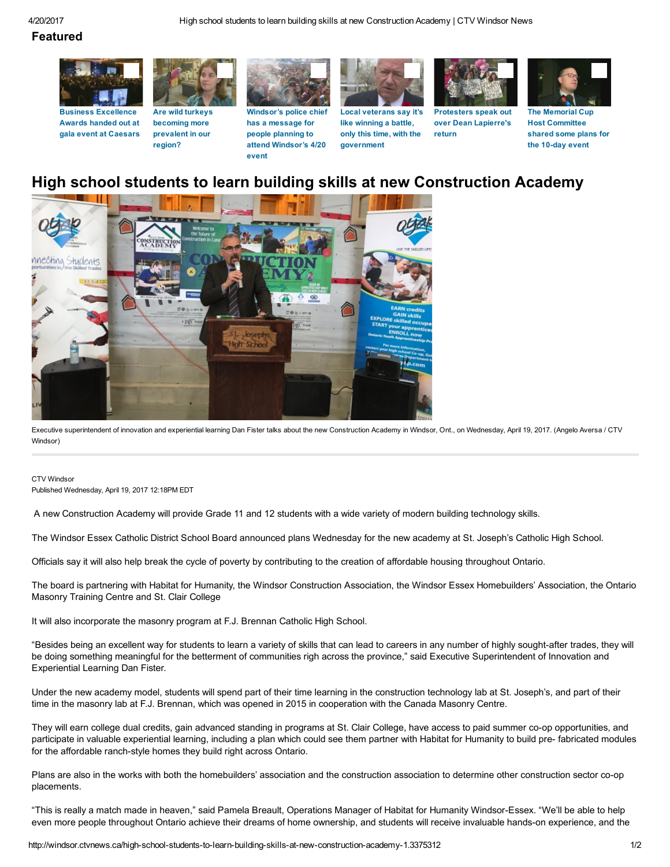### Featured



Business [Excellence](http://windsor.ctvnews.ca/video?clipId=1104634) Awards handed out at gala event at Caesars



[becoming](http://windsor.ctvnews.ca/video?clipId=1104471) more prevalent in our region?



[Windsor's](http://windsor.ctvnews.ca/video?clipId=1104465) police chief has a message for people planning to attend [Windsor's](http://windsor.ctvnews.ca/video?clipId=1104465) 4/20 event



Local [veterans](http://windsor.ctvnews.ca/video?clipId=1104349) say it's like winning a battle, only this time, with the [government](http://windsor.ctvnews.ca/video?clipId=1104349)



[Protesters](http://windsor.ctvnews.ca/video?clipId=1103953) speak out over Dean Lapierre's return



The [Memorial](http://windsor.ctvnews.ca/video?clipId=1104488) Cup Host [Committee](http://windsor.ctvnews.ca/video?clipId=1104488) shared some plans for the 10-day event

# High school students to learn building skills at new Construction Academy



Executive superintendent of innovation and experiential learning Dan Fister talks about the new Construction Academy in Windsor, Ont., on Wednesday, April 19, 2017. (Angelo Aversa / CTV Windsor)

### CTV Windsor

Published Wednesday, April 19, 2017 12:18PM EDT

A new Construction Academy will provide Grade 11 and 12 students with a wide variety of modern building technology skills.

The Windsor Essex Catholic District School Board announced plans Wednesday for the new academy at St. Joseph's Catholic High School.

Officials say it will also help break the cycle of poverty by contributing to the creation of affordable housing throughout Ontario.

The board is partnering with Habitat for Humanity, the Windsor Construction Association, the Windsor Essex Homebuilders' Association, the Ontario Masonry Training Centre and St. Clair College

It will also incorporate the masonry program at F.J. Brennan Catholic High School.

"Besides being an excellent way for students to learn a variety of skills that can lead to careers in any number of highly sought-after trades, they will be doing something meaningful for the betterment of communities righ across the province," said Executive Superintendent of Innovation and Experiential Learning Dan Fister.

Under the new academy model, students will spend part of their time learning in the construction technology lab at St. Joseph's, and part of their time in the masonry lab at F.J. Brennan, which was opened in 2015 in cooperation with the Canada Masonry Centre.

They will earn college dual credits, gain advanced standing in programs at St. Clair College, have access to paid summer co-op opportunities, and participate in valuable experiential learning, including a plan which could see them partner with Habitat for Humanity to build pre-fabricated modules for the affordable ranch-style homes they build right across Ontario.

Plans are also in the works with both the homebuilders' association and the construction association to determine other construction sector co-op placements.

"This is really a match made in heaven," said Pamela Breault, Operations Manager of Habitat for Humanity Windsor-Essex. "We'll be able to help even more people throughout Ontario achieve their dreams of home ownership, and students will receive invaluable hands-on experience, and the